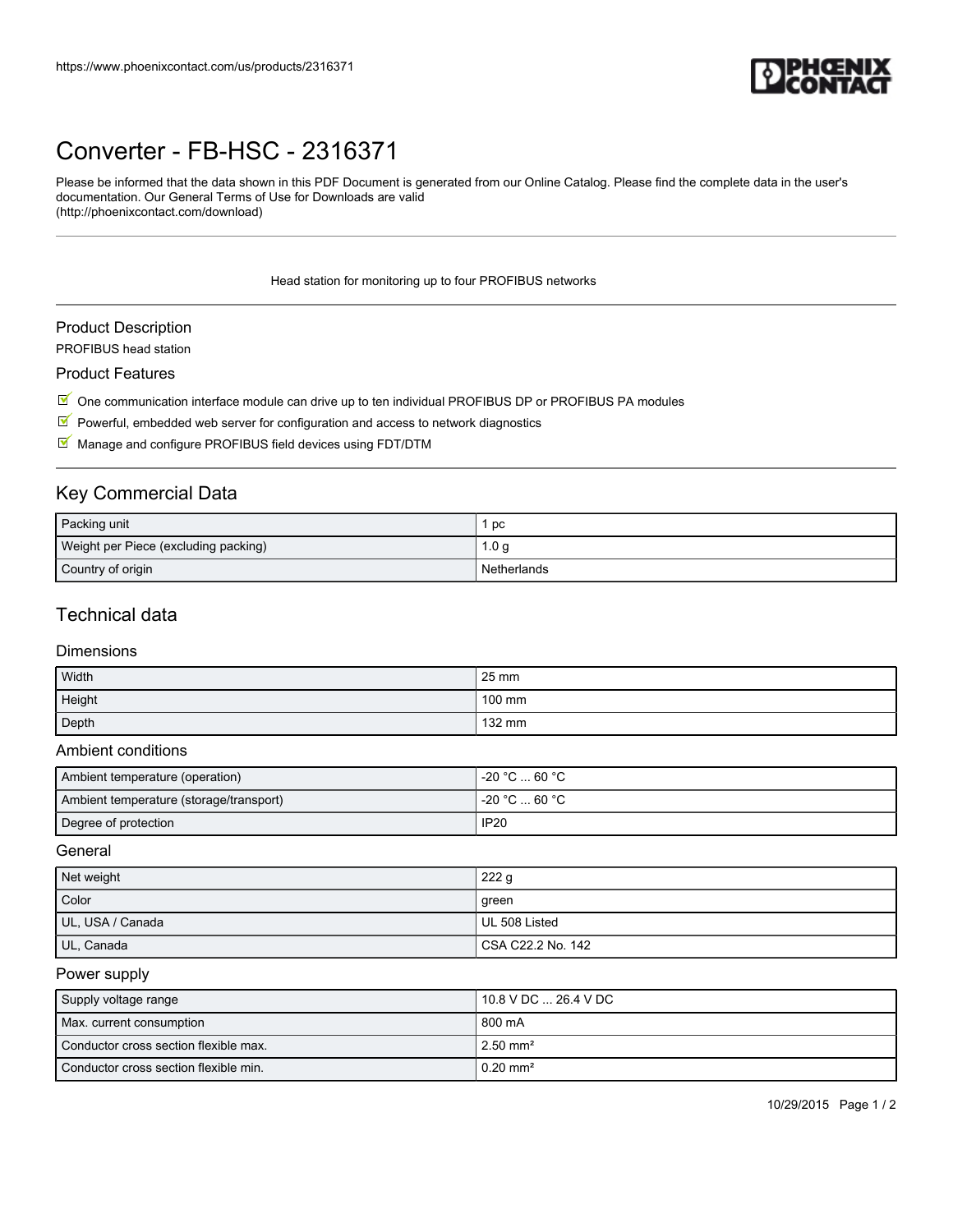

## [Converter - FB-HSC - 2316371](https://www.phoenixcontact.com/us/products/2316371)

Please be informed that the data shown in this PDF Document is generated from our Online Catalog. Please find the complete data in the user's documentation. Our General Terms of Use for Downloads are valid (http://phoenixcontact.com/download)

Head station for monitoring up to four PROFIBUS networks

### Product Description

PROFIBUS head station

#### Product Features

 $\mathbb I$  One communication interface module can drive up to ten individual PROFIBUS DP or PROFIBUS PA modules

- $\triangledown$  Powerful, embedded web server for configuration and access to network diagnostics
- $M$  Manage and configure PROFIBUS field devices using FDT/DTM

## Key Commercial Data

| Packing unit                         | рc          |
|--------------------------------------|-------------|
| Weight per Piece (excluding packing) | 1.0 g       |
| Country of origin                    | Netherlands |

### Technical data

### Dimensions

| Width  | $25 \text{ mm}$ |
|--------|-----------------|
| Height | 100 mm          |
| Depth  | 132 mm          |

### Ambient conditions

| Ambient temperature (operation)         | . -20 °C  60 °C . |
|-----------------------------------------|-------------------|
| Ambient temperature (storage/transport) | ∣ -20 °C  60 °C . |
| Degree of protection                    | <b>IP20</b>       |

### General

| Net weight       | 222g                |
|------------------|---------------------|
| Color            | green               |
| UL, USA / Canada | UL 508 Listed       |
| UL, Canada       | l CSA C22.2 No. 142 |

### Power supply

| Supply voltage range                  | 10.8 V DC  26.4 V DC    |
|---------------------------------------|-------------------------|
| Max. current consumption              | l 800 mA                |
| Conductor cross section flexible max. | $12.50$ mm <sup>2</sup> |
| Conductor cross section flexible min. | $10.20$ mm <sup>2</sup> |